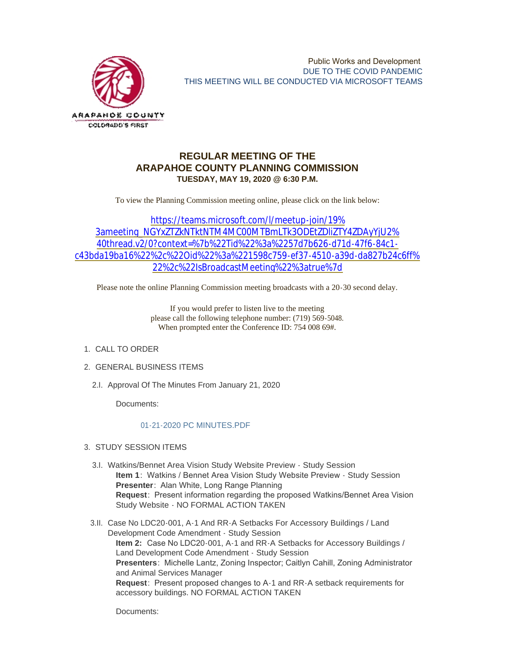

## **REGULAR MEETING OF THE ARAPAHOE COUNTY PLANNING COMMISSION TUESDAY, MAY 19, 2020 @ 6:30 P.M.**

To view the Planning Commission meeting online, please click on the link below:

https://teams.microsoft.com/l/meetup-join/19% 3ameeting\_NGYxZTZkNTktNTM4MC00MTBmLTk3ODEtZDliZTY4ZDAyYjU2% 40thread.v2/0?context=%7b%22Tid%22%3a%2257d7b626-d71d-47f6-84c1 c43bda19ba16%22[%2c%22Oid%22%3a%221598c759-ef37-4510-a39d-da827b24c6ff%](https://teams.microsoft.com/l/meetup-join/19%3ameeting_NGYxZTZkNTktNTM4MC00MTBmLTk3ODEtZDliZTY4ZDAyYjU2%40thread.v2/0?context=%7b%22Tid%22%3a%2257d7b626-d71d-47f6-84c1-c43bda19ba16%22%2c%22Oid%22%3a%221598c759-ef37-4510-a39d-da827b24c6ff%22%2c%22IsBroadcastMeeting%22%3atrue%7d) 22%2c%22IsBroadcastMeeting%22%3atrue%7d

Please note the online Planning Commission meeting broadcasts with a 20-30 second delay.

If you would prefer to listen live to the meeting please call the following telephone number: (719) 569-5048. When prompted enter the Conference ID: 754 008 69#.

- 1. CALL TO ORDER
- GENERAL BUSINESS ITEMS 2.
	- 2.I. Approval Of The Minutes From January 21, 2020

Documents:

## [01-21-2020 PC MINUTES.PDF](https://www.arapahoegov.com/AgendaCenter/ViewFile/Item/12610?fileID=20287)

- 3. STUDY SESSION ITEMS
	- 3.I. Watkins/Bennet Area Vision Study Website Preview Study Session **Item 1**: Watkins / Bennet Area Vision Study Website Preview - Study Session **Presenter**: Alan White, Long Range Planning **Request**: Present information regarding the proposed Watkins/Bennet Area Vision Study Website - NO FORMAL ACTION TAKEN
	- 3.II. Case No LDC20-001, A-1 And RR-A Setbacks For Accessory Buildings / Land Development Code Amendment - Study Session **Item 2:** Case No LDC20-001, A-1 and RR-A Setbacks for Accessory Buildings / Land Development Code Amendment - Study Session **Presenters**: Michelle Lantz, Zoning Inspector; Caitlyn Cahill, Zoning Administrator and Animal Services Manager **Request**: Present proposed changes to A-1 and RR-A setback requirements for accessory buildings. NO FORMAL ACTION TAKEN

Documents: